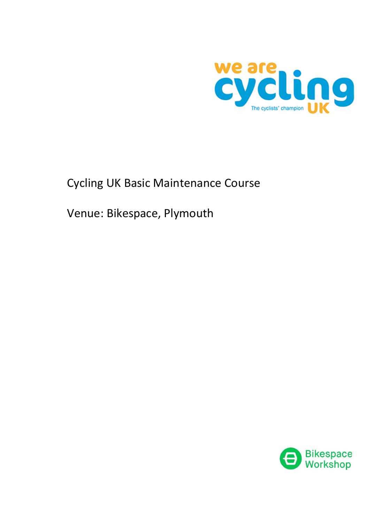

# Cycling UK Basic Maintenance Course

Venue: Bikespace, Plymouth

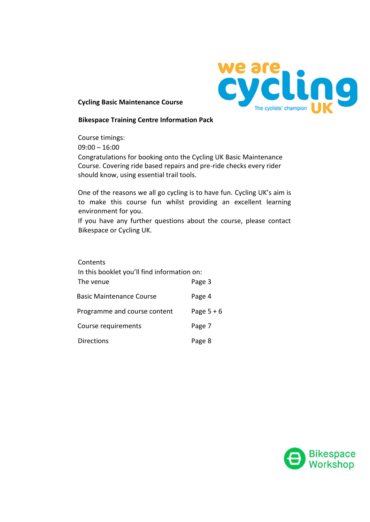

# **Cycling Basic Maintenance Course**

# **Bikespace Training Centre Information Pack**

Course timings: 09:00 – 16:00 Congratulations for booking onto the Cycling UK Basic Maintenance Course. Covering ride based repairs and pre-ride checks every rider should know, using essential trail tools.

One of the reasons we all go cycling is to have fun. Cycling UK's aim is to make this course fun whilst providing an excellent learning environment for you.

If you have any further questions about the course, please contact Bikespace or Cycling UK.

| Contents<br>In this booklet you'll find information on: |            |  |
|---------------------------------------------------------|------------|--|
| The venue                                               | Page 3     |  |
| <b>Basic Maintenance Course</b>                         | Page 4     |  |
| Programme and course content                            | Page $5+6$ |  |
| Course requirements                                     | Page 7     |  |
| <b>Directions</b>                                       | Page 8     |  |

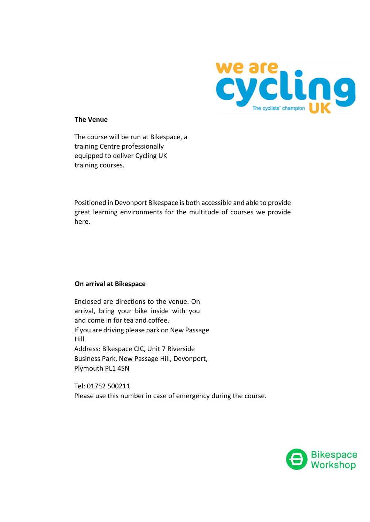

# **The Venue**

The course will be run at Bikespace, a training Centre professionally equipped to deliver Cycling UK training courses.

Positioned in Devonport Bikespace is both accessible and able to provide great learning environments for the multitude of courses we provide here.

#### **On arrival at Bikespace**

Enclosed are directions to the venue. On arrival, bring your bike inside with you and come in for tea and coffee. If you are driving please park on New Passage Hill. Address: Bikespace CIC, Unit 7 Riverside Business Park, New Passage Hill, Devonport, Plymouth PL1 4SN

Tel: 01752 500211 Please use this number in case of emergency during the course.

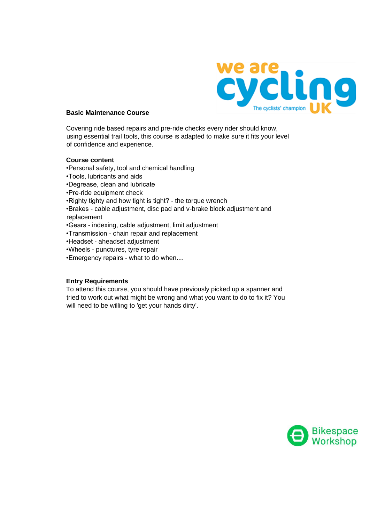

#### **Basic Maintenance Course**

Covering ride based repairs and pre-ride checks every rider should know, using essential trail tools, this course is adapted to make sure it fits your level of confidence and experience.

#### **Course content**

•Personal safety, tool and chemical handling

- •Tools, lubricants and aids
- •Degrease, clean and lubricate
- •Pre-ride equipment check
- •Righty tighty and how tight is tight? the torque wrench
- •Brakes cable adjustment, disc pad and v-brake block adjustment and replacement
- •Gears indexing, cable adjustment, limit adjustment
- •Transmission chain repair and replacement
- •Headset aheadset adjustment
- •Wheels punctures, tyre repair
- •Emergency repairs what to do when....

#### **Entry Requirements**

To attend this course, you should have previously picked up a spanner and tried to work out what might be wrong and what you want to do to fix it? You will need to be willing to 'get your hands dirty'.

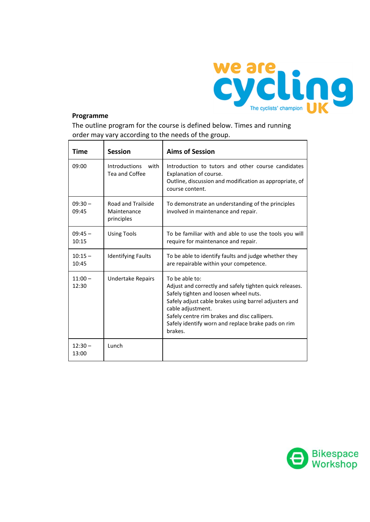

# **Programme**

The outline program for the course is defined below. Times and running order may vary according to the needs of the group.

| <b>Time</b>        | <b>Session</b>                                  | <b>Aims of Session</b>                                                                                                                                                                                                                                                                                            |
|--------------------|-------------------------------------------------|-------------------------------------------------------------------------------------------------------------------------------------------------------------------------------------------------------------------------------------------------------------------------------------------------------------------|
| 09:00              | <b>Introductions</b><br>with<br>Tea and Coffee  | Introduction to tutors and other course candidates<br>Explanation of course.<br>Outline, discussion and modification as appropriate, of<br>course content.                                                                                                                                                        |
| $09:30 -$<br>09:45 | Road and Trailside<br>Maintenance<br>principles | To demonstrate an understanding of the principles<br>involved in maintenance and repair.                                                                                                                                                                                                                          |
| $09:45 -$<br>10:15 | <b>Using Tools</b>                              | To be familiar with and able to use the tools you will<br>require for maintenance and repair.                                                                                                                                                                                                                     |
| $10:15 -$<br>10:45 | <b>Identifying Faults</b>                       | To be able to identify faults and judge whether they<br>are repairable within your competence.                                                                                                                                                                                                                    |
| $11:00 -$<br>12:30 | <b>Undertake Repairs</b>                        | To be able to:<br>Adjust and correctly and safely tighten quick releases.<br>Safely tighten and loosen wheel nuts.<br>Safely adjust cable brakes using barrel adjusters and<br>cable adjustment.<br>Safely centre rim brakes and disc callipers.<br>Safely identify worn and replace brake pads on rim<br>brakes. |
| $12:30 -$<br>13:00 | Lunch                                           |                                                                                                                                                                                                                                                                                                                   |

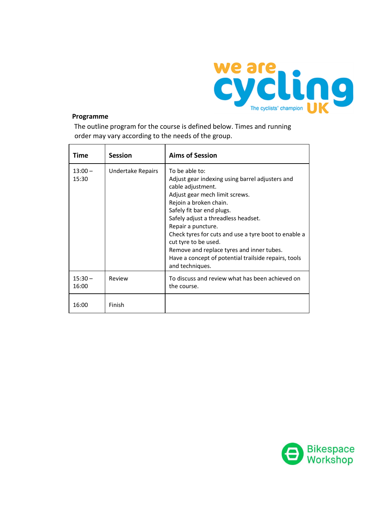

# **Programme**

The outline program for the course is defined below. Times and running order may vary according to the needs of the group.

| Time               | <b>Session</b>    | <b>Aims of Session</b>                                                                                                                                                                                                                                                                                                                                                                                                                               |
|--------------------|-------------------|------------------------------------------------------------------------------------------------------------------------------------------------------------------------------------------------------------------------------------------------------------------------------------------------------------------------------------------------------------------------------------------------------------------------------------------------------|
| $13:00 -$<br>15:30 | Undertake Repairs | To be able to:<br>Adjust gear indexing using barrel adjusters and<br>cable adjustment.<br>Adjust gear mech limit screws.<br>Rejoin a broken chain.<br>Safely fit bar end plugs.<br>Safely adjust a threadless headset.<br>Repair a puncture.<br>Check tyres for cuts and use a tyre boot to enable a<br>cut tyre to be used.<br>Remove and replace tyres and inner tubes.<br>Have a concept of potential trailside repairs, tools<br>and techniques. |
| $15:30 -$<br>16:00 | Review            | To discuss and review what has been achieved on<br>the course.                                                                                                                                                                                                                                                                                                                                                                                       |
| 16:00              | Finish            |                                                                                                                                                                                                                                                                                                                                                                                                                                                      |

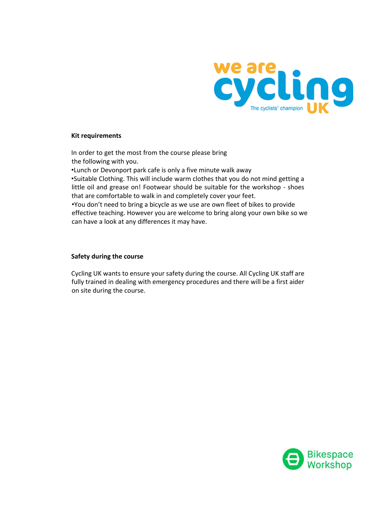

#### **Kit requirements**

In order to get the most from the course please bring the following with you.

•Lunch or Devonport park cafe is only a five minute walk away •Suitable Clothing. This will include warm clothes that you do not mind getting a little oil and grease on! Footwear should be suitable for the workshop - shoes that are comfortable to walk in and completely cover your feet.

•You don't need to bring a bicycle as we use are own fleet of bikes to provide effective teaching. However you are welcome to bring along your own bike so we can have a look at any differences it may have.

#### **Safety during the course**

Cycling UK wants to ensure your safety during the course. All Cycling UK staff are fully trained in dealing with emergency procedures and there will be a first aider on site during the course.